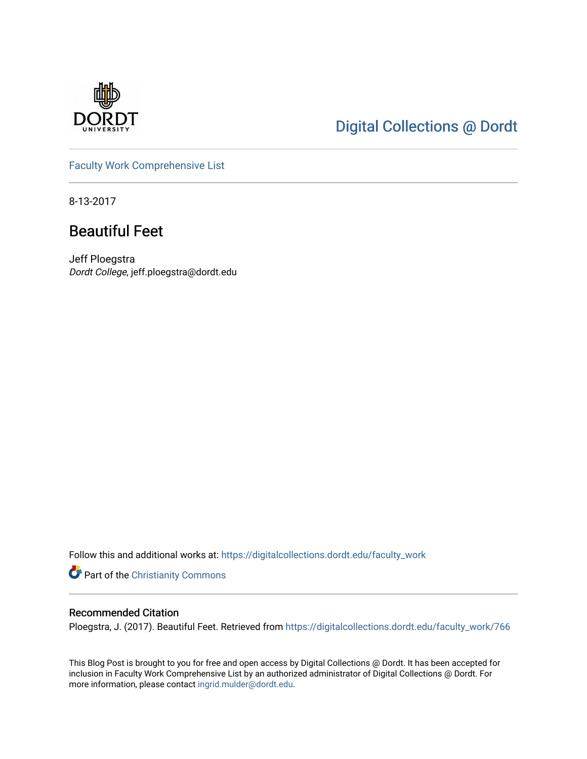

## [Digital Collections @ Dordt](https://digitalcollections.dordt.edu/)

[Faculty Work Comprehensive List](https://digitalcollections.dordt.edu/faculty_work)

8-13-2017

## Beautiful Feet

Jeff Ploegstra Dordt College, jeff.ploegstra@dordt.edu

Follow this and additional works at: [https://digitalcollections.dordt.edu/faculty\\_work](https://digitalcollections.dordt.edu/faculty_work?utm_source=digitalcollections.dordt.edu%2Ffaculty_work%2F766&utm_medium=PDF&utm_campaign=PDFCoverPages) 

**Part of the Christianity Commons** 

#### Recommended Citation

Ploegstra, J. (2017). Beautiful Feet. Retrieved from [https://digitalcollections.dordt.edu/faculty\\_work/766](https://digitalcollections.dordt.edu/faculty_work/766?utm_source=digitalcollections.dordt.edu%2Ffaculty_work%2F766&utm_medium=PDF&utm_campaign=PDFCoverPages) 

This Blog Post is brought to you for free and open access by Digital Collections @ Dordt. It has been accepted for inclusion in Faculty Work Comprehensive List by an authorized administrator of Digital Collections @ Dordt. For more information, please contact [ingrid.mulder@dordt.edu.](mailto:ingrid.mulder@dordt.edu)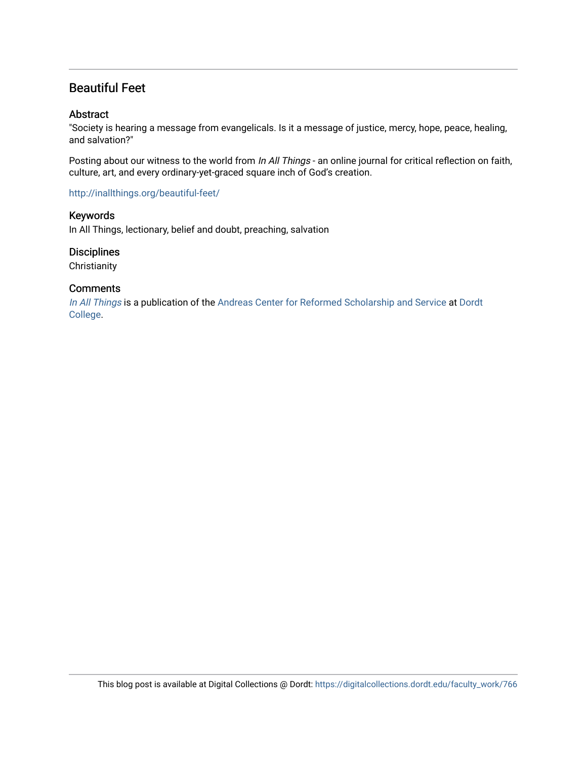### Beautiful Feet

#### **Abstract**

"Society is hearing a message from evangelicals. Is it a message of justice, mercy, hope, peace, healing, and salvation?"

Posting about our witness to the world from In All Things - an online journal for critical reflection on faith, culture, art, and every ordinary-yet-graced square inch of God's creation.

#### <http://inallthings.org/beautiful-feet/>

#### Keywords

In All Things, lectionary, belief and doubt, preaching, salvation

#### **Disciplines**

**Christianity** 

#### **Comments**

[In All Things](http://inallthings.org/) is a publication of the [Andreas Center for Reformed Scholarship and Service](http://www.dordt.edu/services_support/andreas_center/) at Dordt [College](http://www.dordt.edu/).